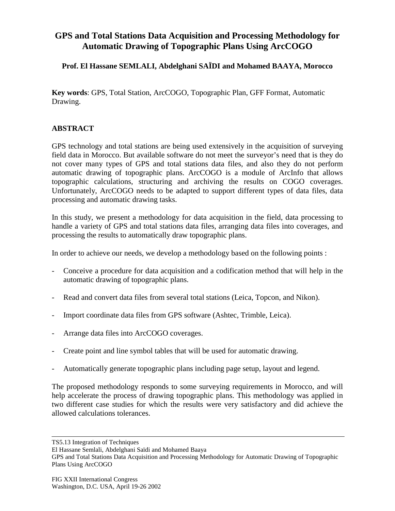## **GPS and Total Stations Data Acquisition and Processing Methodology for Automatic Drawing of Topographic Plans Using ArcCOGO**

## **Prof. El Hassane SEMLALI, Abdelghani SAÏDI and Mohamed BAAYA, Morocco**

**Key words**: GPS, Total Station, ArcCOGO, Topographic Plan, GFF Format, Automatic Drawing.

## **ABSTRACT**

GPS technology and total stations are being used extensively in the acquisition of surveying field data in Morocco. But available software do not meet the surveyor's need that is they do not cover many types of GPS and total stations data files, and also they do not perform automatic drawing of topographic plans. ArcCOGO is a module of ArcInfo that allows topographic calculations, structuring and archiving the results on COGO coverages. Unfortunately, ArcCOGO needs to be adapted to support different types of data files, data processing and automatic drawing tasks.

In this study, we present a methodology for data acquisition in the field, data processing to handle a variety of GPS and total stations data files, arranging data files into coverages, and processing the results to automatically draw topographic plans.

In order to achieve our needs, we develop a methodology based on the following points :

- Conceive a procedure for data acquisition and a codification method that will help in the automatic drawing of topographic plans.
- Read and convert data files from several total stations (Leica, Topcon, and Nikon).
- Import coordinate data files from GPS software (Ashtec, Trimble, Leica).
- Arrange data files into ArcCOGO coverages.
- Create point and line symbol tables that will be used for automatic drawing.
- Automatically generate topographic plans including page setup, layout and legend.

The proposed methodology responds to some surveying requirements in Morocco, and will help accelerate the process of drawing topographic plans. This methodology was applied in two different case studies for which the results were very satisfactory and did achieve the allowed calculations tolerances.

TS5.13 Integration of Techniques

El Hassane Semlali, Abdelghani Saïdi and Mohamed Baaya

GPS and Total Stations Data Acquisition and Processing Methodology for Automatic Drawing of Topographic Plans Using ArcCOGO